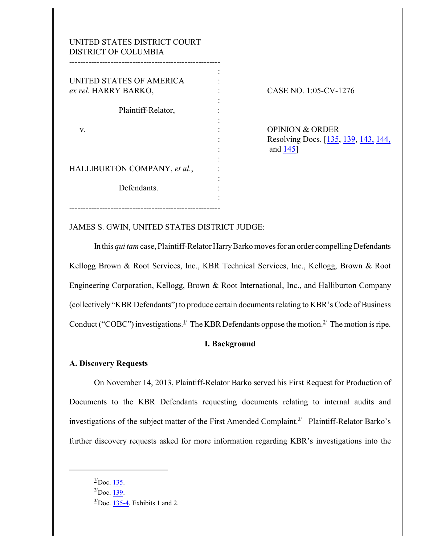| UNITED STATES DISTRICT COURT<br><b>DISTRICT OF COLUMBIA</b> |  |
|-------------------------------------------------------------|--|
| UNITED STATES OF AMERICA<br>ex rel. HARRY BARKO,            |  |
| Plaintiff-Relator,                                          |  |
| v.                                                          |  |
|                                                             |  |
| HALLIBURTON COMPANY, et al.,                                |  |
| Defendants.                                                 |  |
|                                                             |  |

CASE NO. 1:05-CV-1276

OPINION & ORDER Resolving Docs. [\[135](https://ecf.dcd.uscourts.gov/doc1/04514599350), [139](https://ecf.dcd.uscourts.gov/doc1/04514610834), [143,](https://ecf.dcd.uscourts.gov/doc1/04514615392) [144,](https://ecf.dcd.uscourts.gov/doc1/04514618808) : and [145](https://ecf.dcd.uscourts.gov/doc1/04514621930)]

JAMES S. GWIN, UNITED STATES DISTRICT JUDGE:

In this *qui tam* case, Plaintiff-Relator Harry Barko moves for an order compelling Defendants Kellogg Brown & Root Services, Inc., KBR Technical Services, Inc., Kellogg, Brown & Root Engineering Corporation, Kellogg, Brown & Root International, Inc., and Halliburton Company (collectively "KBR Defendants") to produce certain documents relating to KBR's Code of Business Conduct ("COBC") investigations.<sup>1/</sup> The KBR Defendants oppose the motion.<sup>2/</sup> The motion is ripe.

### **I. Background**

### **A. Discovery Requests**

On November 14, 2013, Plaintiff-Relator Barko served his First Request for Production of Documents to the KBR Defendants requesting documents relating to internal audits and investigations of the subject matter of the First Amended Complaint.<sup>3/</sup> Plaintiff-Relator Barko's further discovery requests asked for more information regarding KBR's investigations into the

 $\frac{1}{2}$ Doc. [135](https://ecf.dcd.uscourts.gov/doc1/04514599350).

 $^{2}/$ Doc. [139](https://ecf.dcd.uscourts.gov/doc1/04514610834).

 $3$ <sup>2</sup>Doc. [135-4](https://ecf.dcd.uscourts.gov/doc1/04514599354), Exhibits 1 and 2.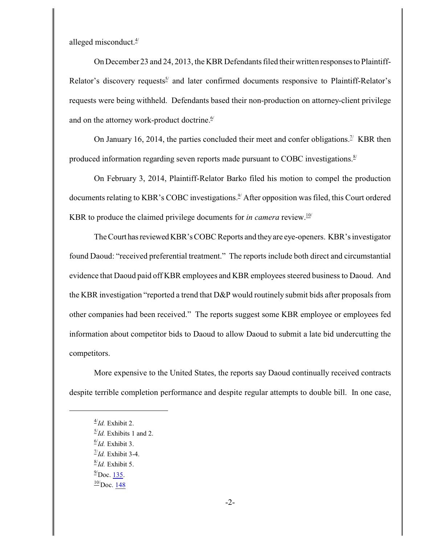alleged misconduct. $4$ 

On December 23 and 24, 2013, the KBR Defendants filed their written responses to Plaintiff-Relator's discovery requests<sup>5/</sup> and later confirmed documents responsive to Plaintiff-Relator's requests were being withheld. Defendants based their non-production on attorney-client privilege and on the attorney work-product doctrine. $\frac{6}{5}$ 

On January 16, 2014, the parties concluded their meet and confer obligations.<sup> $\frac{1}{2}$ </sup> KBR then produced information regarding seven reports made pursuant to COBC investigations.<sup>8/</sup>

On February 3, 2014, Plaintiff-Relator Barko filed his motion to compel the production documents relating to KBR's COBC investigations.<sup>9</sup> After opposition was filed, this Court ordered KBR to produce the claimed privilege documents for *in camera* review.<sup>10/</sup>

The Court has reviewed KBR's COBC Reports and they are eye-openers. KBR's investigator found Daoud: "received preferential treatment." The reports include both direct and circumstantial evidence that Daoud paid off KBR employees and KBR employees steered business to Daoud. And the KBR investigation "reported a trend that D&P would routinely submit bids after proposals from other companies had been received." The reports suggest some KBR employee or employees fed information about competitor bids to Daoud to allow Daoud to submit a late bid undercutting the competitors.

More expensive to the United States, the reports say Daoud continually received contracts despite terrible completion performance and despite regular attempts to double bill. In one case,

<sup>4/</sup> *Id.* Exhibit 2.

<sup>5/</sup> *Id.* Exhibits 1 and 2.

<sup>6/</sup> *Id.* Exhibit 3.

<sup>7/</sup> *Id.* Exhibit 3-4.

<sup>8/</sup> *Id.* Exhibit 5.

 $^{9}/\text{Doc.}$  [135](https://ecf.dcd.uscourts.gov/doc1/04514599350).  $\frac{10}{2}$ Doc. [148](https://ecf.dcd.uscourts.gov/doc1/04514624875)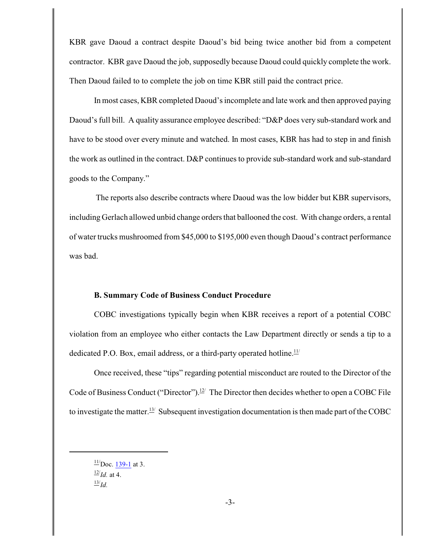KBR gave Daoud a contract despite Daoud's bid being twice another bid from a competent contractor. KBR gave Daoud the job, supposedly because Daoud could quickly complete the work. Then Daoud failed to to complete the job on time KBR still paid the contract price.

In most cases, KBR completed Daoud's incomplete and late work and then approved paying Daoud's full bill. A quality assurance employee described: "D&P does very sub-standard work and have to be stood over every minute and watched. In most cases, KBR has had to step in and finish the work as outlined in the contract. D&P continues to provide sub-standard work and sub-standard goods to the Company."

The reports also describe contracts where Daoud was the low bidder but KBR supervisors, including Gerlach allowed unbid change orders that ballooned the cost. With change orders, a rental of water trucks mushroomed from \$45,000 to \$195,000 even though Daoud's contract performance was bad.

#### **B. Summary Code of Business Conduct Procedure**

COBC investigations typically begin when KBR receives a report of a potential COBC violation from an employee who either contacts the Law Department directly or sends a tip to a dedicated P.O. Box, email address, or a third-party operated hotline. $11/$ 

Once received, these "tips" regarding potential misconduct are routed to the Director of the Code of Business Conduct ("Director").<sup>12/</sup> The Director then decides whether to open a COBC File to investigate the matter.<sup>13/</sup> Subsequent investigation documentation is then made part of the COBC

 $\frac{11}{2}$ Doc. [139-1](https://ecf.dcd.uscourts.gov/doc1/04514610835) at 3.  $\frac{12}{Id}$ . at 4.  $\frac{13}{Id}$ .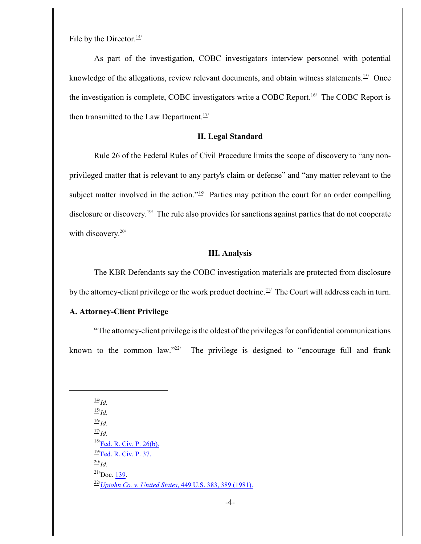File by the Director. $\frac{14}{1}$ 

As part of the investigation, COBC investigators interview personnel with potential knowledge of the allegations, review relevant documents, and obtain witness statements.<sup>15/</sup> Once the investigation is complete, COBC investigators write a COBC Report.<sup>16/</sup> The COBC Report is then transmitted to the Law Department. $17/1$ 

## **II. Legal Standard**

Rule 26 of the Federal Rules of Civil Procedure limits the scope of discovery to "any nonprivileged matter that is relevant to any party's claim or defense" and "any matter relevant to the subject matter involved in the action." $18$ <sup> $\mu$ </sup> Parties may petition the court for an order compelling disclosure or discovery.<sup>19/</sup> The rule also provides for sanctions against parties that do not cooperate with discovery.<sup>20/</sup>

## **III. Analysis**

The KBR Defendants say the COBC investigation materials are protected from disclosure by the attorney-client privilege or the work product doctrine.<sup>21/</sup> The Court will address each in turn.

# **A. Attorney-Client Privilege**

"The attorney-client privilege is the oldest of the privileges for confidential communications known to the common law." $22$ <sup>'</sup> The privilege is designed to "encourage full and frank

14/ *Id.* 15/ *Id.* 16/ *Id.* 17/ *Id.*  $\frac{18}{15}$  [Fed. R. Civ. P. 26\(b\).](https://a.next.westlaw.com/Document/NCBF83860B96411D8983DF34406B5929B/View/FullText.html?navigationPath=Search%2Fv3%2Fsearch%2Fresults%2Fnavigation%2Fi0ad705220000014493193a197dde4833%3FNav%3DNONUNIQUECITATION%26fragmentIdentifier%3DNCBF83860B96411D8983D)  $\frac{19}{\text{Fed. R. Civ. P. 37.}}$ 20/ *Id.*  $\frac{21}{2}$ Doc. [139](https://ecf.dcd.uscourts.gov/doc1/04514610834). 22/*[Upjohn Co. v. United States](https://a.next.westlaw.com/Link/Document/FullText?findType=Y&serNum=1981101939&pubNum=708&originationContext=document&transitionType=DocumentItem&contextData=(sc.History*oc.Search))*, 449 U.S. 383, 389 (1981).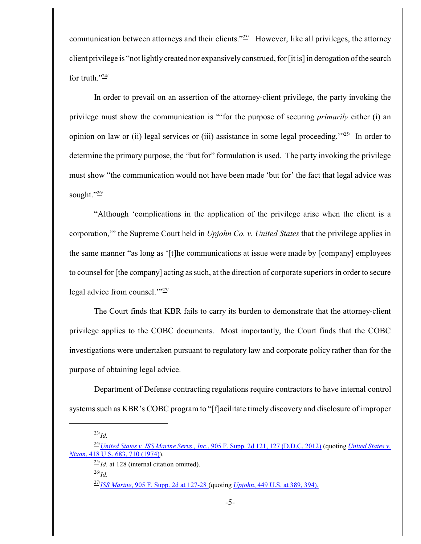communication between attorneys and their clients."<sup>23/</sup> However, like all privileges, the attorney client privilege is "not lightlycreated nor expansively construed, for [it is] in derogation of the search for truth." $\frac{24}{1}$ 

In order to prevail on an assertion of the attorney-client privilege, the party invoking the privilege must show the communication is "'for the purpose of securing *primarily* either (i) an opinion on law or (ii) legal services or (iii) assistance in some legal proceeding."<sup>25</sup>/ In order to determine the primary purpose, the "but for" formulation is used. The party invoking the privilege must show "the communication would not have been made 'but for' the fact that legal advice was sought."26/

"Although 'complications in the application of the privilege arise when the client is a corporation,'" the Supreme Court held in *Upjohn Co. v. United States* that the privilege applies in the same manner "as long as '[t]he communications at issue were made by [company] employees to counsel for [the company] acting as such, at the direction of corporate superiors in order to secure legal advice from counsel. $\frac{1.27}{27}$ 

The Court finds that KBR fails to carry its burden to demonstrate that the attorney-client privilege applies to the COBC documents. Most importantly, the Court finds that the COBC investigations were undertaken pursuant to regulatory law and corporate policy rather than for the purpose of obtaining legal advice.

Department of Defense contracting regulations require contractors to have internal control systems such as KBR's COBC program to "[f]acilitate timely discovery and disclosure of improper

<sup>23/</sup> *Id.*

<sup>24/</sup>*United States v. ISS [Marine Servs., Inc](https://a.next.westlaw.com/Document/I84e5c94d346111e280719c3f0e80bdd0/View/FullText.html?listSource=Foldering&originationContext=MyResearchHistoryRecents&transitionType=MyResearchHistoryItem&contextData=%28oc.Search%29&VR=3.0&RS=cblt1.0)*., 905 F. Supp. 2d 121, 127 (D.D.C. 2012) (quoting *United [States v.](https://a.next.westlaw.com/Link/Document/FullText?findType=Y&serNum=1974127252&pubNum=708&originationContext=document&transitionType=DocumentItem&contextData=(sc.UserEnteredCitation)) Nixon*[, 418 U.S. 683, 710 \(1974\)](https://a.next.westlaw.com/Link/Document/FullText?findType=Y&serNum=1974127252&pubNum=708&originationContext=document&transitionType=DocumentItem&contextData=(sc.UserEnteredCitation))).

<sup>25/</sup> *Id.* at 128 (internal citation omitted). 26/ *Id.*

<sup>27/</sup> *ISS Marine*[, 905 F. Supp. 2d at 127-28](https://a.next.westlaw.com/Document/I84e5c94d346111e280719c3f0e80bdd0/View/FullText.html?listSource=Foldering&originationContext=MyResearchHistoryRecents&transitionType=MyResearchHistoryItem&contextData=(oc.Search)&VR=3.0&RS=cblt1.0&firstPage=true&Cobalt) (quoting *Upjohn*[, 449 U.S. at 389, 394\).](https://a.next.westlaw.com/Link/Document/FullText?findType=Y&serNum=1981101939&pubNum=708&originationContext=document&transitionType=DocumentItem&contextData=(sc.History*oc.Search))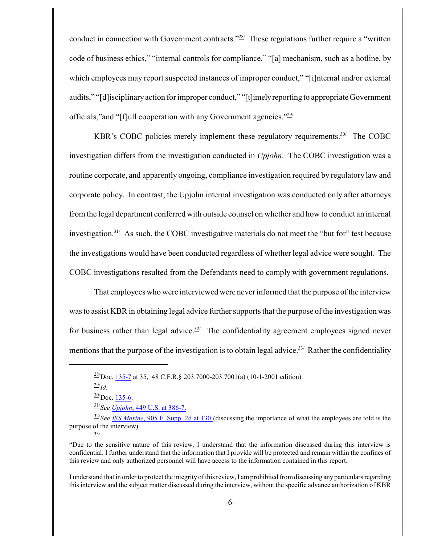conduct in connection with Government contracts."<sup>28/</sup> These regulations further require a "written" code of business ethics," "internal controls for compliance," "[a] mechanism, such as a hotline, by which employees may report suspected instances of improper conduct," "[i]nternal and/or external audits," "[d]isciplinaryaction for improper conduct," "[t]imelyreporting to appropriate Government officials," and "[f]ull cooperation with any Government agencies."<sup>29/</sup>

KBR's COBC policies merely implement these regulatory requirements.<sup>30/</sup> The COBC investigation differs from the investigation conducted in *Upjohn*. The COBC investigation was a routine corporate, and apparently ongoing, compliance investigation required by regulatory law and corporate policy. In contrast, the Upjohn internal investigation was conducted only after attorneys from the legal department conferred with outside counsel on whether and how to conduct an internal investigation. $31/2$  As such, the COBC investigative materials do not meet the "but for" test because the investigations would have been conducted regardless of whether legal advice were sought. The COBC investigations resulted from the Defendants need to comply with government regulations.

That employees who were interviewed were never informed that the purpose of the interview was to assist KBR in obtaining legal advice further supports that the purpose of the investigation was for business rather than legal advice.<sup>32/</sup> The confidentiality agreement employees signed never mentions that the purpose of the investigation is to obtain legal advice.<sup>33/</sup> Rather the confidentiality

I understand that in order to protect the integrity ofthis review, I amprohibited fromdiscussing any particulars regarding this interview and the subject matter discussed during the interview, without the specific advance authorization of KBR

 $\frac{28}{20}$ Doc. [135-7](https://ecf.dcd.uscourts.gov/doc1/04514599357) at 35, 48 C.F.R.§ 203.7000-203.7001(a) (10-1-2001 edition).

<sup>29/</sup> *Id.*

 $\frac{30}{2}$ Doc. [135-6](https://ecf.dcd.uscourts.gov/doc1/04514599356).

<sup>31/</sup> *See Upjohn*[, 449 U.S. at 386-7.](https://a.next.westlaw.com/Link/Document/FullText?findType=Y&serNum=1981101939&pubNum=708&originationContext=document&transitionType=DocumentItem&contextData=(sc.History*oc.Search))

<sup>32/</sup> *See ISS Marine*[, 905 F. Supp. 2d](https://a.next.westlaw.com/Document/I84e5c94d346111e280719c3f0e80bdd0/View/FullText.html?listSource=Foldering&originationContext=MyResearchHistoryRecents&transitionType=MyResearchHistoryItem&contextData=(oc.Search)&VR=3.0&RS=cblt1.0&firstPage=true&Cobalt) at 130 (discussing the importance of what the employees are told is the purpose of the interview).

<sup>33/</sup>

<sup>&</sup>quot;Due to the sensitive nature of this review, I understand that the information discussed during this interview is confidential. I further understand that the information that I provide will be protected and remain within the confines of this review and only authorized personnel will have access to the information contained in this report.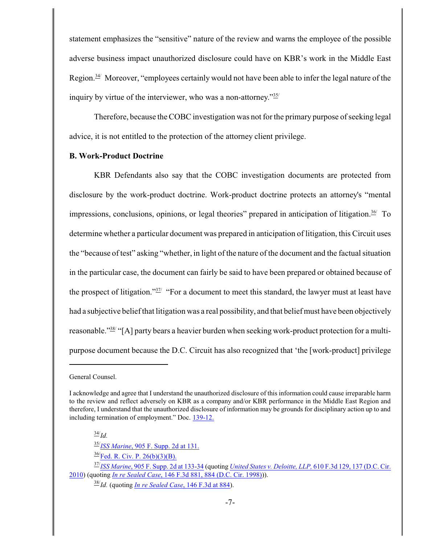statement emphasizes the "sensitive" nature of the review and warns the employee of the possible adverse business impact unauthorized disclosure could have on KBR's work in the Middle East Region.<sup>34/</sup> Moreover, "employees certainly would not have been able to infer the legal nature of the inquiry by virtue of the interviewer, who was a non-attorney."<sup>35/</sup>

Therefore, because the COBC investigation was not for the primary purpose of seeking legal advice, it is not entitled to the protection of the attorney client privilege.

# **B. Work-Product Doctrine**

KBR Defendants also say that the COBC investigation documents are protected from disclosure by the work-product doctrine. Work-product doctrine protects an attorney's "mental impressions, conclusions, opinions, or legal theories" prepared in anticipation of litigation. $36/7$  To determine whether a particular document was prepared in anticipation of litigation, this Circuit uses the "because of test" asking "whether, in light of the nature of the document and the factual situation in the particular case, the document can fairly be said to have been prepared or obtained because of the prospect of litigation." $37/$  "For a document to meet this standard, the lawyer must at least have had a subjective belief that litigation was a real possibility, and that belief must have been objectively reasonable."<sup>38</sup> "[A] party bears a heavier burden when seeking work-product protection for a multipurpose document because the D.C. Circuit has also recognized that 'the [work-product] privilege

34/ *Id.*

35/ *ISS Marine*[, 905 F. Supp. 2d at 131.](https://a.next.westlaw.com/Document/I84e5c94d346111e280719c3f0e80bdd0/View/FullText.html?listSource=Foldering&originationContext=MyResearchHistoryRecents&transitionType=MyResearchHistoryItem&contextData=(oc.Search)&VR=3.0&RS=cblt1.0&firstPage=true&Cobalt)

 $\frac{36}{\text{Fed. R. Civ. P. 26(b)(3)(B)}}$ 

38/ *Id.* (quoting *[In re Sealed Case](https://a.next.westlaw.com/Link/Document/FullText?findType=Y&serNum=1998123233&pubNum=506&originationContext=document&transitionType=DocumentItem&contextData=(sc.History*oc.Search)#co_pp_sp_506_884)*, 146 F.3d at 884).

General Counsel.

I acknowledge and agree that I understand the unauthorized disclosure of this information could cause irreparable harm to the review and reflect adversely on KBR as a company and/or KBR performance in the Middle East Region and therefore, I understand that the unauthorized disclosure of information may be grounds for disciplinary action up to and including termination of employment." Doc. [139-12.](https://ecf.dcd.uscourts.gov/doc1/04514610846)

<sup>37/</sup> *ISS Marine*, 905 [F. Supp. 2d](https://a.next.westlaw.com/Document/I84e5c94d346111e280719c3f0e80bdd0/View/FullText.html?listSource=Foldering&originationContext=MyResearchHistoryRecents&transitionType=MyResearchHistoryItem&contextData=(oc.Search)&VR=3.0&RS=cblt1.0&firstPage=true&Cobalt) at 133-34 (quoting *United [States v. Deloitte, LLP,](https://a.next.westlaw.com/Link/Document/FullText?findType=Y&serNum=2022405698&pubNum=506&originationContext=document&transitionType=DocumentItem&contextData=(sc.History*oc.Search)#co_pp_sp_506_137)* 610 F.3d 129, 137 (D.C. Cir. [2010](https://a.next.westlaw.com/Link/Document/FullText?findType=Y&serNum=2022405698&pubNum=506&originationContext=document&transitionType=DocumentItem&contextData=(sc.History*oc.Search)#co_pp_sp_506_137)) (quoting *In re Sealed Case*[, 146 F.3d 881, 884 \(D.C. Cir. 1998\)](https://a.next.westlaw.com/Link/Document/FullText?findType=Y&serNum=1998123233&pubNum=506&originationContext=document&transitionType=DocumentItem&contextData=(sc.History*oc.Search)#co_pp_sp_506_884))).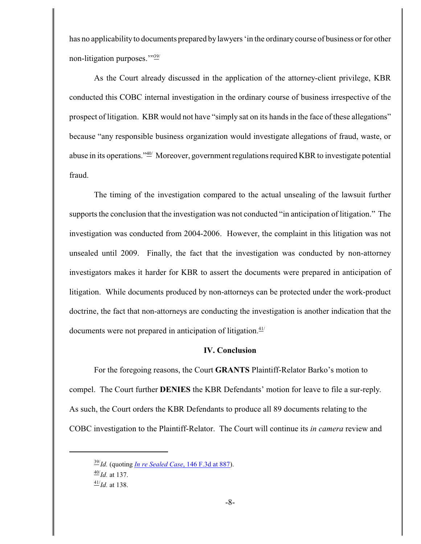has no applicabilityto documents prepared by lawyers 'in the ordinarycourse of business or for other non-litigation purposes.'"39/

As the Court already discussed in the application of the attorney-client privilege, KBR conducted this COBC internal investigation in the ordinary course of business irrespective of the prospect of litigation. KBR would not have "simply sat on its hands in the face of these allegations" because "any responsible business organization would investigate allegations of fraud, waste, or abuse in its operations."40/ Moreover, government regulations required KBR to investigate potential fraud.

The timing of the investigation compared to the actual unsealing of the lawsuit further supports the conclusion that the investigation was not conducted "in anticipation of litigation." The investigation was conducted from 2004-2006. However, the complaint in this litigation was not unsealed until 2009. Finally, the fact that the investigation was conducted by non-attorney investigators makes it harder for KBR to assert the documents were prepared in anticipation of litigation. While documents produced by non-attorneys can be protected under the work-product doctrine, the fact that non-attorneys are conducting the investigation is another indication that the documents were not prepared in anticipation of litigation. $41/$ 

### **IV. Conclusion**

For the foregoing reasons, the Court **GRANTS** Plaintiff-Relator Barko's motion to compel. The Court further **DENIES** the KBR Defendants' motion for leave to file a sur-reply. As such, the Court orders the KBR Defendants to produce all 89 documents relating to the COBC investigation to the Plaintiff-Relator. The Court will continue its *in camera* review and

<sup>39/</sup> *Id.* (quoting *[In re Sealed Case](https://a.next.westlaw.com/Link/Document/FullText?findType=Y&serNum=1998123233&pubNum=506&originationContext=document&transitionType=DocumentItem&contextData=(sc.History*oc.Search)#co_pp_sp_506_884)*, 146 F.3d at 887). 40/ *Id.* at 137. 41/ *Id.* at 138.